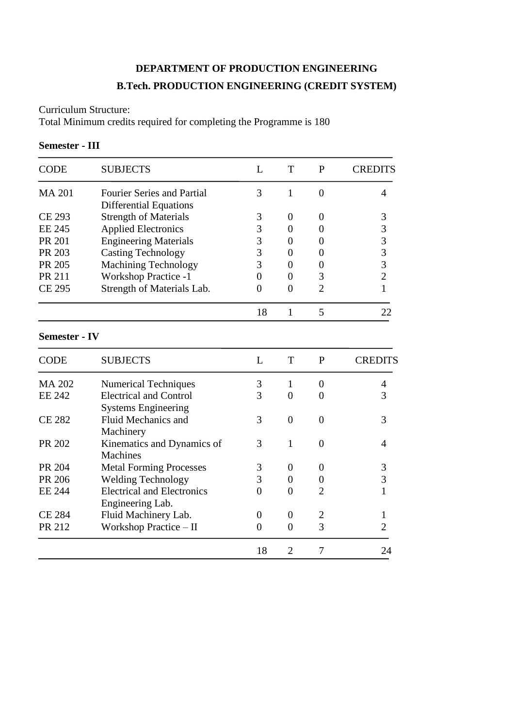## **DEPARTMENT OF PRODUCTION ENGINEERING B.Tech. PRODUCTION ENGINEERING (CREDIT SYSTEM)**

Curriculum Structure:

Total Minimum credits required for completing the Programme is 180

#### **Semester - III**

| <b>CODE</b>          | <b>SUBJECTS</b>                   | L  | T              | P              | CREDITS                                    |
|----------------------|-----------------------------------|----|----------------|----------------|--------------------------------------------|
| <b>MA 201</b>        | <b>Fourier Series and Partial</b> | 3  | 1              | $\Omega$       | 4                                          |
|                      | <b>Differential Equations</b>     |    |                |                |                                            |
| <b>CE 293</b>        | <b>Strength of Materials</b>      | 3  | $\theta$       | $\Omega$       | 3                                          |
| <b>EE 245</b>        | <b>Applied Electronics</b>        | 3  | $\Omega$       | $\theta$       | 3                                          |
| PR 201               | <b>Engineering Materials</b>      | 3  | $\Omega$       | $\theta$       |                                            |
| PR 203               | <b>Casting Technology</b>         | 3  | 0              | $\theta$       | $\begin{array}{c} 3 \\ 3 \\ 2 \end{array}$ |
| PR 205               | <b>Machining Technology</b>       | 3  | 0              | $\theta$       |                                            |
| <b>PR 211</b>        | <b>Workshop Practice -1</b>       | 0  | 0              | 3              |                                            |
| CE 295               | Strength of Materials Lab.        | 0  | $\overline{0}$ | $\overline{2}$ | $\mathbf{1}$                               |
|                      |                                   | 18 | 1              | 5              | 22                                         |
| <b>Semester - IV</b> |                                   |    |                |                |                                            |
| <b>CODE</b>          | <b>SUBJECTS</b>                   | L  | T              | P              | <b>CREDITS</b>                             |
| <b>MA 202</b>        | <b>Numerical Techniques</b>       | 3  | $\mathbf{1}$   | $\theta$       | $\overline{4}$                             |
| <b>EE 242</b>        | <b>Electrical and Control</b>     | 3  | 0              | 0              | 3                                          |
|                      | <b>Systems Engineering</b>        |    |                |                |                                            |
| <b>CE 282</b>        | Fluid Mechanics and               | 3  | $\theta$       | $\Omega$       | 3                                          |
|                      | Machinery                         |    |                |                |                                            |
| PR 202               | Kinematics and Dynamics of        | 3  | 1              | $\Omega$       | 4                                          |
|                      | <b>Machines</b>                   |    |                |                |                                            |

PR 204 Metal Forming Processes 3 0 0 3<br>
PR 206 Welding Technology 3 0 0 3 Welding Technology  $3 \t 0 \t 0$ EE 244 Electrical and Electronics 0 0 2 1

CE 284 Fluid Machinery Lab. 0 0 0 2 1<br>PR 212 Workshop Practice – II 0 0 3 2 Workshop Practice – II  $0 \t 0$ 

18 2 7 24

ׇ֞֘֡

Engineering Lab.

l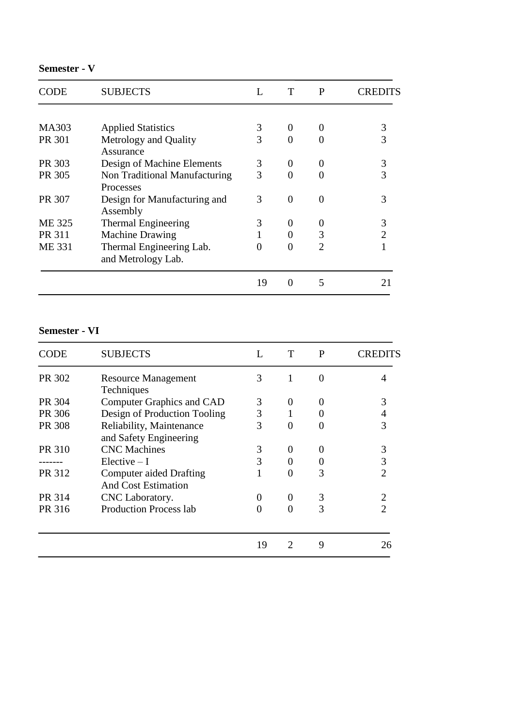## **Semester - V**

| <b>SUBJECTS</b>                                   | L                                                         |          | P                           | CREDITS |
|---------------------------------------------------|-----------------------------------------------------------|----------|-----------------------------|---------|
|                                                   |                                                           |          |                             |         |
| <b>Applied Statistics</b>                         | 3                                                         | $\theta$ | $\theta$                    | 3       |
| Metrology and Quality<br>Assurance                | 3                                                         | 0        | 0                           | 3       |
| Design of Machine Elements                        | 3                                                         | $\theta$ | 0                           | 3       |
| Non Traditional Manufacturing<br><b>Processes</b> | 3                                                         | $\Omega$ | 0                           | 3       |
| Design for Manufacturing and                      | 3                                                         | 0        | 0                           | 3       |
|                                                   | 3                                                         | $\theta$ |                             |         |
|                                                   |                                                           |          | 3                           |         |
| Thermal Engineering Lab.<br>and Metrology Lab.    | 0                                                         | 0        | $\mathcal{D}_{\mathcal{A}}$ |         |
|                                                   | 19                                                        | 0        | 5                           |         |
|                                                   | Assembly<br>Thermal Engineering<br><b>Machine Drawing</b> |          |                             |         |

#### **Semester - VI**

| CODE   | <b>SUBJECTS</b>                                       |    | T                           | P                 | CREDITS |
|--------|-------------------------------------------------------|----|-----------------------------|-------------------|---------|
| PR 302 | <b>Resource Management</b><br>Techniques              | 3  |                             | $\Omega$          |         |
| PR 304 | <b>Computer Graphics and CAD</b>                      | 3  | 0                           |                   | 3       |
| PR 306 | Design of Production Tooling                          | 3  |                             |                   |         |
| PR 308 | Reliability, Maintenance<br>and Safety Engineering    | 3  | 0                           | $\mathbf{\Omega}$ | 3       |
| PR 310 | <b>CNC</b> Machines                                   | 3  | $\boldsymbol{0}$            | 0                 | 3       |
|        | $Electric - I$                                        | 3  | 0                           | 0                 | 3       |
| PR 312 | Computer aided Drafting<br><b>And Cost Estimation</b> |    | $\overline{0}$              | 3                 |         |
| PR 314 | CNC Laboratory.                                       | 0  | 0                           | 3                 |         |
| PR 316 | <b>Production Process lab</b>                         | 0  | 0                           | 3                 |         |
|        |                                                       | 19 | $\mathcal{D}_{\mathcal{L}}$ | 9                 | 26      |
|        |                                                       |    |                             |                   |         |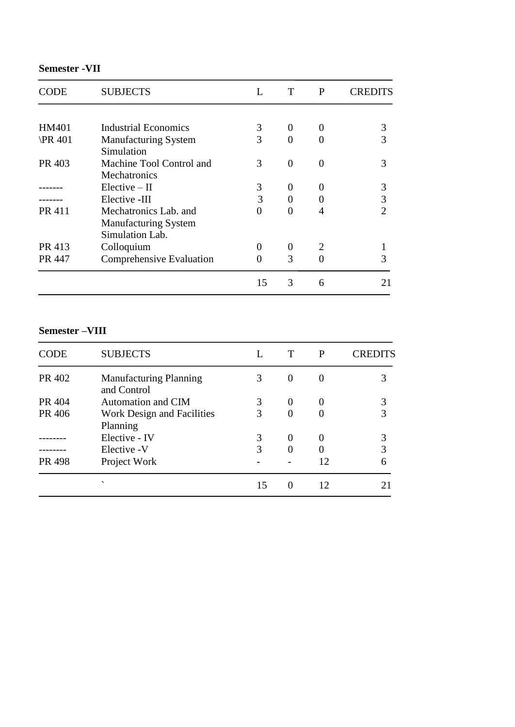## **Semester -VII**

| CODE           | <b>SUBJECTS</b>             | L  | T        | P | <b>CREDITS</b> |
|----------------|-----------------------------|----|----------|---|----------------|
|                |                             |    |          |   |                |
| HM401          | Industrial Economics        | 3  | $\Omega$ |   | 3              |
| <b>\PR 401</b> | <b>Manufacturing System</b> | 3  | 0        | 0 | 3              |
|                | Simulation                  |    |          |   |                |
| PR 403         | Machine Tool Control and    | 3  | 0        | 0 | 3              |
|                | <b>Mechatronics</b>         |    |          |   |                |
|                | $Elective - II$             | 3  | 0        | 0 | 3              |
|                | Elective -III               | 3  | 0        | 0 | 3              |
| PR 411         | Mechatronics Lab. and       | 0  | 0        | 4 |                |
|                | <b>Manufacturing System</b> |    |          |   |                |
|                | Simulation Lab.             |    |          |   |                |
| PR 413         | Colloquium                  | 0  | $\theta$ | 2 |                |
| PR 447         | Comprehensive Evaluation    |    | 3        |   | 3              |
|                |                             | 15 | 3        | 6 |                |

#### **Semester –VIII**

| <b>CODE</b> | <b>SUBJECTS</b>                              |    |          | P                 | OREI |
|-------------|----------------------------------------------|----|----------|-------------------|------|
| PR 402      | <b>Manufacturing Planning</b><br>and Control | 3  | $\Omega$ | $\Omega$          |      |
| PR 404      | Automation and CIM                           | 3  | $\Omega$ | $\mathbf{\Omega}$ | 3    |
| PR 406      | Work Design and Facilities<br>Planning       | 3  | $\Omega$ |                   | 3    |
|             | Elective - IV                                | 3  | 0        | $\mathbf{\Omega}$ |      |
|             | Elective - V                                 | 3  |          | 0                 | 3    |
| PR 498      | Project Work                                 |    |          | 12                | 6    |
|             | $\overline{\phantom{0}}$                     | 15 | $\Omega$ | 12                |      |
|             |                                              |    |          |                   |      |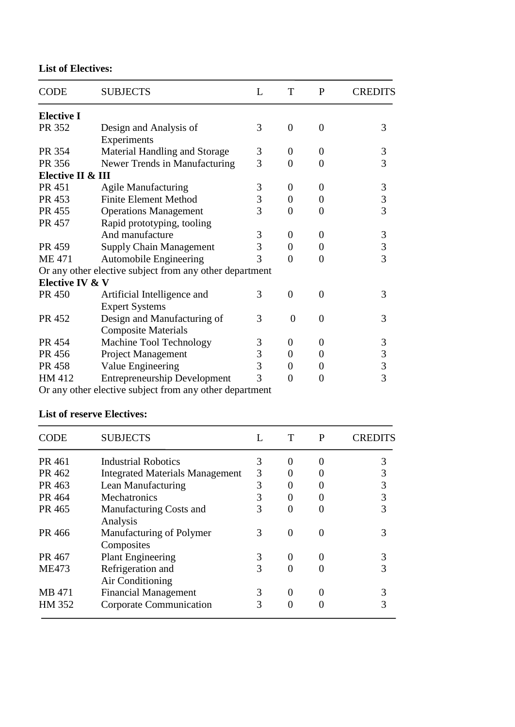**List of Electives:**

| <b>CODE</b>       | <b>SUBJECTS</b>                                         | L | T              | $\mathbf{P}$   | CREDITS |
|-------------------|---------------------------------------------------------|---|----------------|----------------|---------|
| <b>Elective I</b> |                                                         |   |                |                |         |
| PR 352            | Design and Analysis of                                  | 3 | $\theta$       | $\theta$       | 3       |
|                   | Experiments                                             |   |                |                |         |
| PR 354            | Material Handling and Storage                           | 3 | $\theta$       | $\Omega$       | 3       |
| PR 356            | Newer Trends in Manufacturing                           | 3 | $\theta$       | $\overline{0}$ | 3       |
| Elective II & III |                                                         |   |                |                |         |
| PR 451            | <b>Agile Manufacturing</b>                              | 3 | $\theta$       | 0              | 3       |
| PR 453            | <b>Finite Element Method</b>                            | 3 | $\theta$       | 0              | 3       |
| PR 455            | <b>Operations Management</b>                            | 3 | $\theta$       | 0              | 3       |
| PR 457            | Rapid prototyping, tooling                              |   |                |                |         |
|                   | And manufacture                                         | 3 | $\theta$       | 0              | 3       |
| PR 459            | <b>Supply Chain Management</b>                          | 3 | $\theta$       | 0              | 3       |
| <b>ME471</b>      | Automobile Engineering                                  | 3 | 0              | $\theta$       | 3       |
|                   | Or any other elective subject from any other department |   |                |                |         |
| Elective IV & V   |                                                         |   |                |                |         |
| PR 450            | Artificial Intelligence and                             | 3 | $\theta$       | $\theta$       | 3       |
|                   | <b>Expert Systems</b>                                   |   |                |                |         |
| PR 452            | Design and Manufacturing of                             | 3 | $\overline{0}$ | $\overline{0}$ | 3       |
|                   | <b>Composite Materials</b>                              |   |                |                |         |
| PR 454            | Machine Tool Technology                                 | 3 | $\Omega$       | $\Omega$       | 3       |
| PR 456            | Project Management                                      | 3 | $\theta$       | 0              | 3       |
| PR 458            | Value Engineering                                       | 3 | $\Omega$       | 0              | 3       |
| HM 412            | <b>Entrepreneurship Development</b>                     | 3 | 0              | $\overline{0}$ | 3       |
|                   | Or any other elective subject from any other department |   |                |                |         |

Or any other elective subject from any other department

## **List of reserve Electives:**

| CODE         | <b>SUBJECTS</b>                        |   |          | P        | CREDITS |
|--------------|----------------------------------------|---|----------|----------|---------|
| PR 461       | <b>Industrial Robotics</b>             | 3 | $\Omega$ | $\theta$ | 3       |
| PR 462       | <b>Integrated Materials Management</b> | 3 |          |          | 3       |
| PR 463       | Lean Manufacturing                     | 3 |          |          | 3       |
| PR 464       | Mechatronics                           | 3 |          |          | 3       |
| PR 465       | Manufacturing Costs and<br>Analysis    | 3 |          |          |         |
| PR 466       | Manufacturing of Polymer<br>Composites | 3 |          |          |         |
| PR 467       | <b>Plant Engineering</b>               | 3 | $\Omega$ | 0        | 3       |
| <b>ME473</b> | Refrigeration and<br>Air Conditioning  | 3 | 0        |          |         |
| MB 471       | <b>Financial Management</b>            | 3 | 0        |          |         |
| HM 352       | Corporate Communication                | 3 |          |          |         |